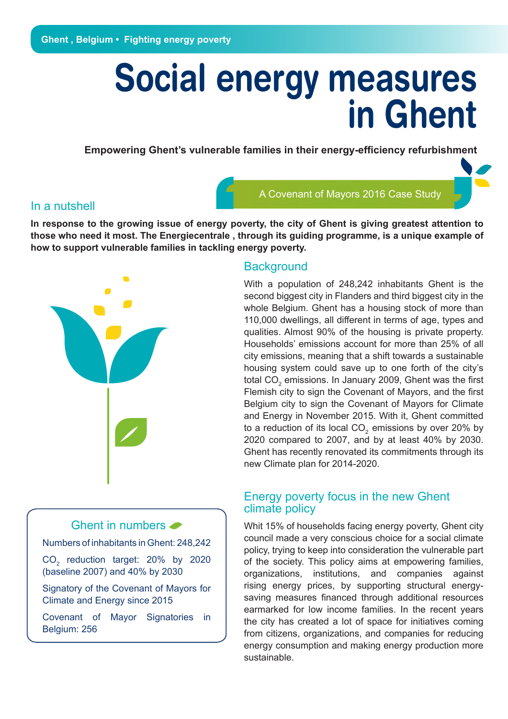# **Social energy measures in Ghent**

**Empowering Ghent's vulnerable families in their energy-efficiency refurbishment** 

#### In a nutshell

A Covenant of Mayors 2016 Case Study

**In response to the growing issue of energy poverty, the city of Ghent is giving greatest attention to those who need it most. The Energiecentrale , through its guiding programme, is a unique example of how to support vulnerable families in tackling energy poverty.** 

# Ghent in numbers  $\bullet$

Numbers of inhabitants in Ghent: 248,242

 $CO<sub>2</sub>$  reduction target: 20% by 2020 (baseline 2007) and 40% by 2030

Signatory of the Covenant of Mayors for Climate and Energy since 2015

Covenant of Mayor Signatories in Belgium: 256

#### **Background**

With a population of 248,242 inhabitants Ghent is the second biggest city in Flanders and third biggest city in the whole Belgium. Ghent has a housing stock of more than 110,000 dwellings, all different in terms of age, types and qualities. Almost 90% of the housing is private property. Households' emissions account for more than 25% of all city emissions, meaning that a shift towards a sustainable housing system could save up to one forth of the city's total CO $_2$  emissions. In January 2009, Ghent was the first Flemish city to sign the Covenant of Mayors, and the first Belgium city to sign the Covenant of Mayors for Climate and Energy in November 2015. With it, Ghent committed to a reduction of its local CO<sub>2</sub> emissions by over 20% by 2020 compared to 2007, and by at least 40% by 2030. Ghent has recently renovated its commitments through its new Climate plan for 2014-2020.

#### Energy poverty focus in the new Ghent climate policy

Whit 15% of households facing energy poverty, Ghent city council made a very conscious choice for a social climate policy, trying to keep into consideration the vulnerable part of the society. This policy aims at empowering families, organizations, institutions, and companies against rising energy prices, by supporting structural energysaving measures financed through additional resources earmarked for low income families. In the recent years the city has created a lot of space for initiatives coming from citizens, organizations, and companies for reducing energy consumption and making energy production more sustainable.